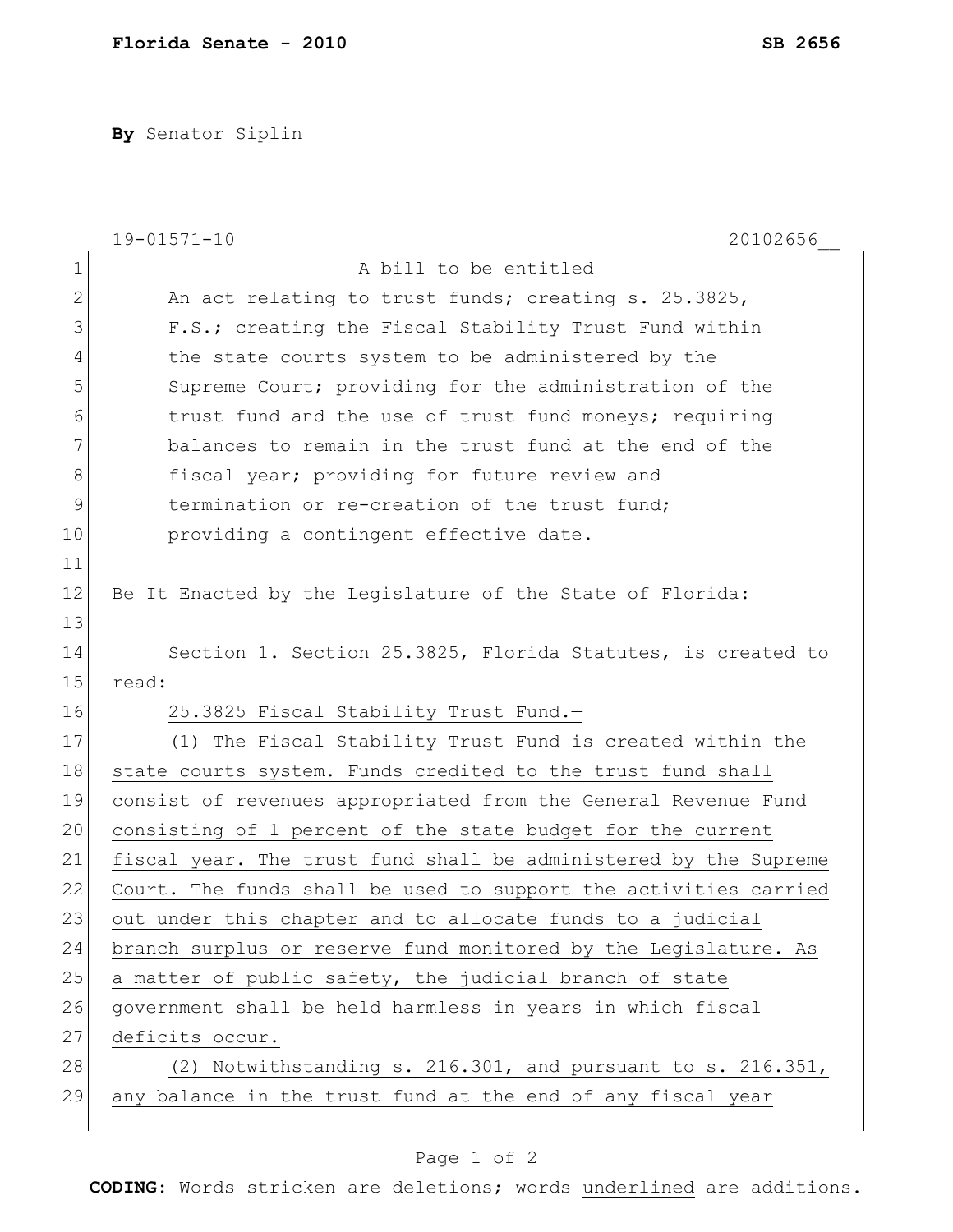**By** Senator Siplin

|              | $19 - 01571 - 10$<br>20102656                                    |
|--------------|------------------------------------------------------------------|
| $\mathbf 1$  | A bill to be entitled                                            |
| $\mathbf{2}$ | An act relating to trust funds; creating s. 25.3825,             |
| 3            | F.S.; creating the Fiscal Stability Trust Fund within            |
| 4            | the state courts system to be administered by the                |
| 5            | Supreme Court; providing for the administration of the           |
| 6            | trust fund and the use of trust fund moneys; requiring           |
| 7            | balances to remain in the trust fund at the end of the           |
| 8            | fiscal year; providing for future review and                     |
| 9            | termination or re-creation of the trust fund;                    |
| 10           | providing a contingent effective date.                           |
| 11           |                                                                  |
| 12           | Be It Enacted by the Legislature of the State of Florida:        |
| 13           |                                                                  |
| 14           | Section 1. Section 25.3825, Florida Statutes, is created to      |
| 15           | read:                                                            |
| 16           | 25.3825 Fiscal Stability Trust Fund.-                            |
| 17           | (1) The Fiscal Stability Trust Fund is created within the        |
| 18           | state courts system. Funds credited to the trust fund shall      |
| 19           | consist of revenues appropriated from the General Revenue Fund   |
| 20           | consisting of 1 percent of the state budget for the current      |
| 21           | fiscal year. The trust fund shall be administered by the Supreme |
| 22           | Court. The funds shall be used to support the activities carried |
| 23           | out under this chapter and to allocate funds to a judicial       |
| 24           | branch surplus or reserve fund monitored by the Legislature. As  |
| 25           | a matter of public safety, the judicial branch of state          |
| 26           | government shall be held harmless in years in which fiscal       |
| 27           | deficits occur.                                                  |
| 28           | $(2)$ Notwithstanding s. 216.301, and pursuant to s. 216.351,    |
| 29           | any balance in the trust fund at the end of any fiscal year      |
|              |                                                                  |

## Page 1 of 2

**CODING**: Words stricken are deletions; words underlined are additions.